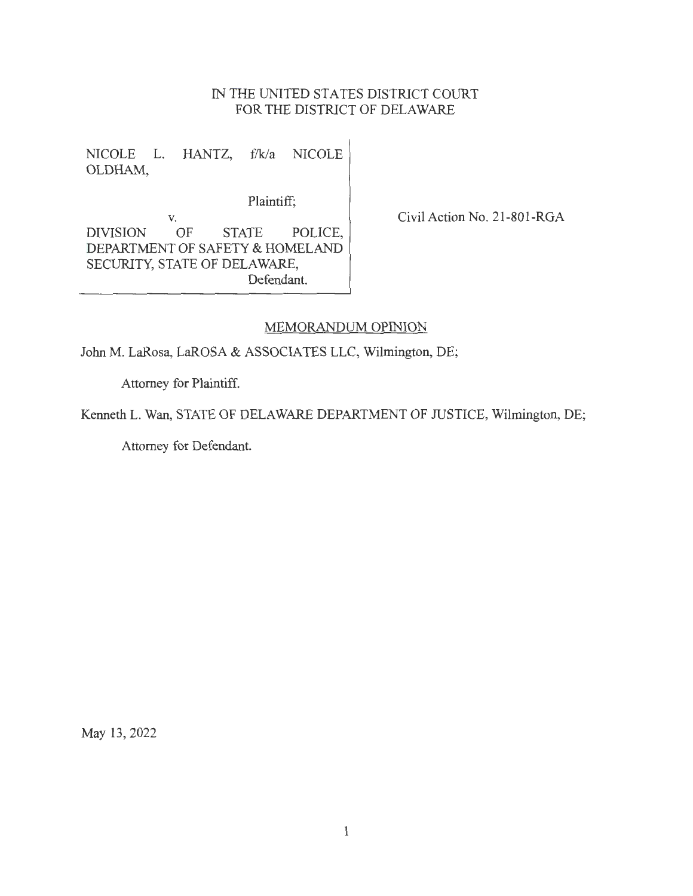## IN THE UNITED STATES DISTRICT COURT FOR THE DISTRICT OF DELAWARE

NICOLE L. HANTZ, f/k/a NICOLE OLDHAM,

Plaintiff;

V. DIVISION OF STATE POLICE, DEPARTMENT OF SAFETY & HOMELAND SECURITY, STATE OF DELAWARE, Defendant.

Civil Action No. 21-801-RGA

## MEMORANDUM OPINION

John M. LaRosa, LaROSA & ASSOCIATES LLC, Wilmington, DE;

Attorney for Plaintiff.

Kenneth L. Wan, STATE OF DELAWARE DEPARTMENT OF JUSTICE, Wilmington, DE;

Attorney for Defendant.

May 13, 2022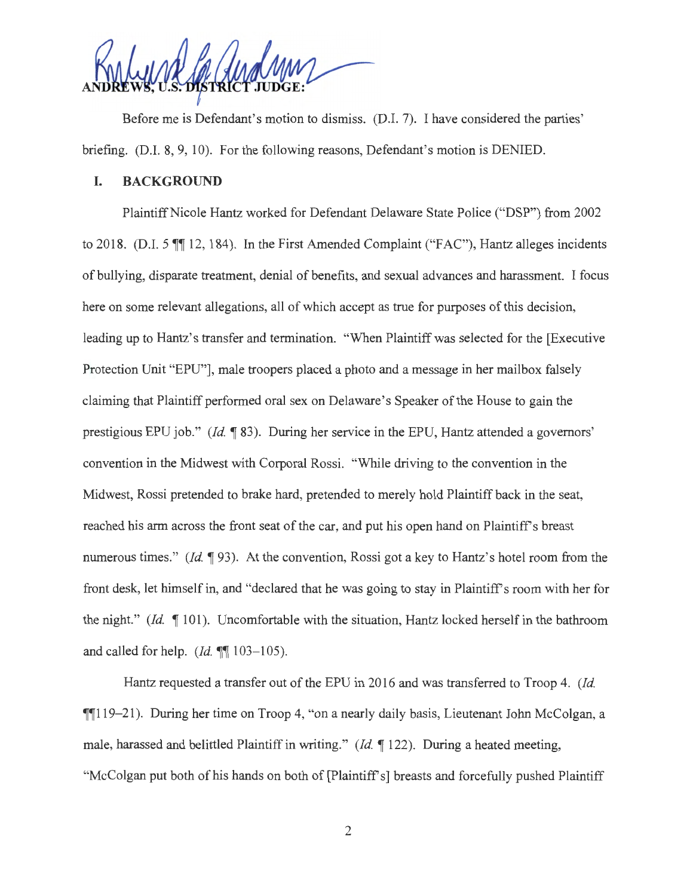Before me is Defendant's motion to dismiss. (D.I. 7). I have considered the parties' briefing. (D.I. 8, 9, 10). For the following reasons, Defendant's motion is DENIED.

## **I. BACKGROUND**

Plaintiff Nicole Hantz worked for Defendant Delaware State Police ("DSP") from 2002 to 2018. (D.I. 5 **11** 12, 184). In the First Amended Complaint ("FAC"), Hantz alleges incidents of bullying, disparate treatment, denial of benefits, and sexual advances and harassment. I focus here on some relevant allegations, all of which accept as true for purposes of this decision, leading up to Hantz's transfer and termination. "When Plaintiff was selected for the [Executive] Protection Unit "EPU"], male troopers placed a photo and a message in her mailbox falsely claiming that Plaintiff performed oral sex on Delaware 's Speaker of the House to gain the prestigious EPU job." *(Id.* 183). During her service in the EPU, Hantz attended a governors' convention in the Midwest with Corporal Rossi. "While driving to the convention in the Midwest, Rossi pretended to brake hard, pretended to merely hold Plaintiff back in the seat, reached his arm across the front seat of the car, and put his open hand on Plaintiff's breast numerous times." *(Id.* 193). At the convention, Rossi got a key to Hantz's hotel room from the front desk, let himself in, and "declared that he was going to stay in Plaintiff's room with her for the night." *(Id.* 101). Uncomfortable with the situation, Hantz locked herself in the bathroom and called for help. *(Id.*  $\mathbb{I}$  **103-105).** 

Hantz requested a transfer out of the EPU in 2016 and was transferred to Troop 4. *(Id.*   $\P$ [119-21). During her time on Troop 4, "on a nearly daily basis, Lieutenant John McColgan, a male, harassed and belittled Plaintiff in writing." (Id. 122). During a heated meeting, "McColgan put both of his hands on both of [Plaintiff's] breasts and forcefully pushed Plaintiff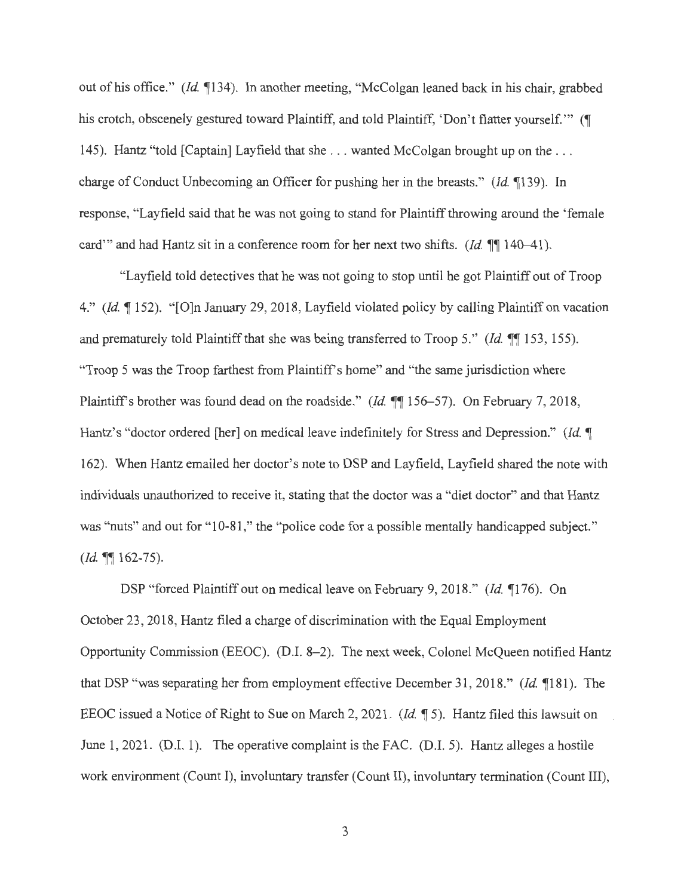out of his office." *(Id* 1134). In another meeting, "McColgan leaned back in his chair, grabbed his crotch, obscenely gestured toward Plaintiff, and told Plaintiff, 'Don't flatter yourself.'" (¶ 145). Hantz "told [Captain] Layfield that she ... wanted McColgan brought up on the ... charge of Conduct Unbecoming an Officer for pushing her in the breasts." *(Id.* 1139). In response, "Layfield said that he was not going to stand for Plaintiff throwing around the 'female card" and had Hantz sit in a conference room for her next two shifts. *(Id.*  $\P$  140–41).

"Layfield told detectives that he was not going to stop until he got Plaintiff out of Troop 4." *(Id* 1152). "[O]n January 29, 2018, Layfield violated policy by calling Plaintiff on vacation and prematurely told Plaintiff that she was being transferred to Troop 5." (Id. 11153, 155). "Troop 5 was the Troop farthest from Plaintiff's home" and "the same jurisdiction where Plaintiff's brother was found dead on the roadside." (Id. ¶156-57). On February 7, 2018, Hantz's "doctor ordered [her] on medical leave indefinitely for Stress and Depression." *(Id.* 1) 162). When Hantz emailed her doctor's note to DSP and Layfield, Layfield shared the note with individuals unauthorized to receive it, stating that the doctor was a "diet doctor" and that Hantz was "nuts" and out for "10-81," the "police code for a possible mentally handicapped subject." *(Id.* ¶ 162-75).

DSP "forced Plaintiff out on medical leave on February 9, 2018." *(Id* 1176). On October 23, 2018, Hantz filed a charge of discrimination with the Equal Employment Opportunity Commission (EEOC). (D.I. 8-2). The next week, Colonel McQueen notified Hantz that DSP "was separating her from employment effective December 31 , 2018." *(Id* **1181** ). The EEOC issued a Notice of Right to Sue on March 2, 2021. *(Id* **15).** Hantz filed this lawsuit on June 1, 2021. (D.I. 1). The operative complaint is the FAC. (D.I. 5). Hantz alleges a hostile work environment (Count I), involuntary transfer (Count II), involuntary termination (Count III),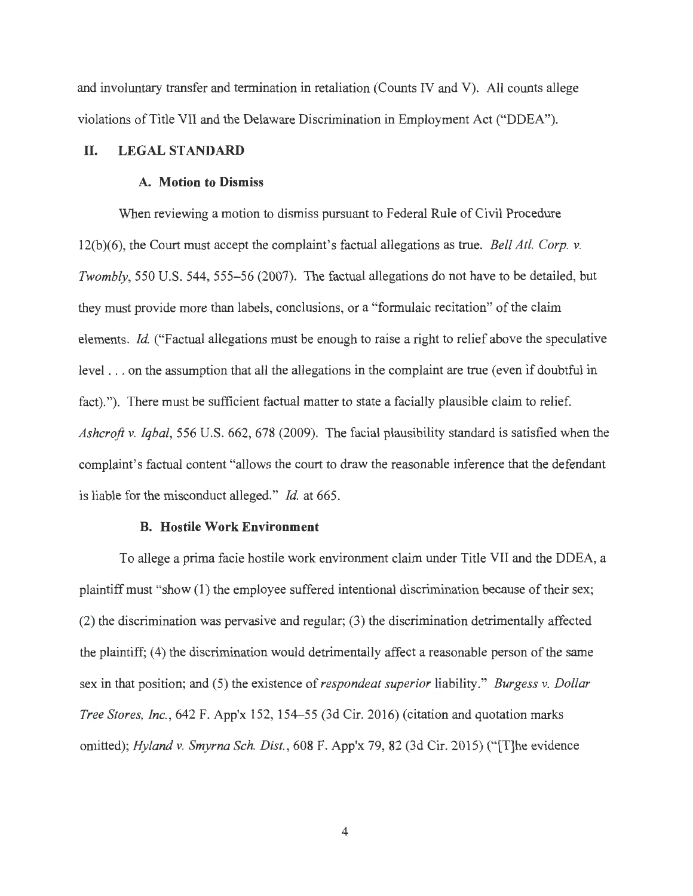and involuntary transfer and termination in retaliation (Counts IV and V). All counts allege violations of Title VII and the Delaware Discrimination in Employment Act ("DDEA").

### **II. LEGAL STANDARD**

### **A. Motion to Dismiss**

When reviewing a motion to dismiss pursuant to Federal Rule of Civil Procedure 12(b)(6), the Court must accept the complaint's factual allegations as true. *Bell At!. Corp. v. Twombly,* 550 U.S. 544, 555-56 (2007). The factual allegations do not have to be detailed, but they must provide more than labels, conclusions, or a "formulaic recitation" of the claim elements. *Id.* ("Factual allegations must be enough to raise a right to relief above the speculative level . . . on the assumption that all the allegations in the complaint are true (even if doubtful in fact)."). There must be sufficient factual matter to state a facially plausible claim to relief. *Ashcroft v. Iqbal,* 556 U.S. 662, 678 (2009). The facial plausibility standard is satisfied when the complaint's factual content "allows the court to draw the reasonable inference that the defendant is liable for the misconduct alleged." *Id.* at 665.

#### **B. Hostile Work Environment**

To allege a prima facie hostile work environment claim under Title VII and the DDEA, a plaintiff must "show (1) the employee suffered intentional discrimination because of their sex; (2) the discrimination was pervasive and regular; (3) the discrimination detrimentally affected the plaintiff; (4) the discrimination would detrimentally affect a reasonable person of the same sex in that position; and (5) the existence of *respondeat superior* liability." *Burgess v. Dollar Tree Stores, Inc.,* 642 F. App'x 152, 154-55 (3d Cir. 2016) (citation and quotation marks omitted); *Hyland v. Smyrna Sch. Dist.*, 608 F. App'x 79, 82 (3d Cir. 2015) ("The evidence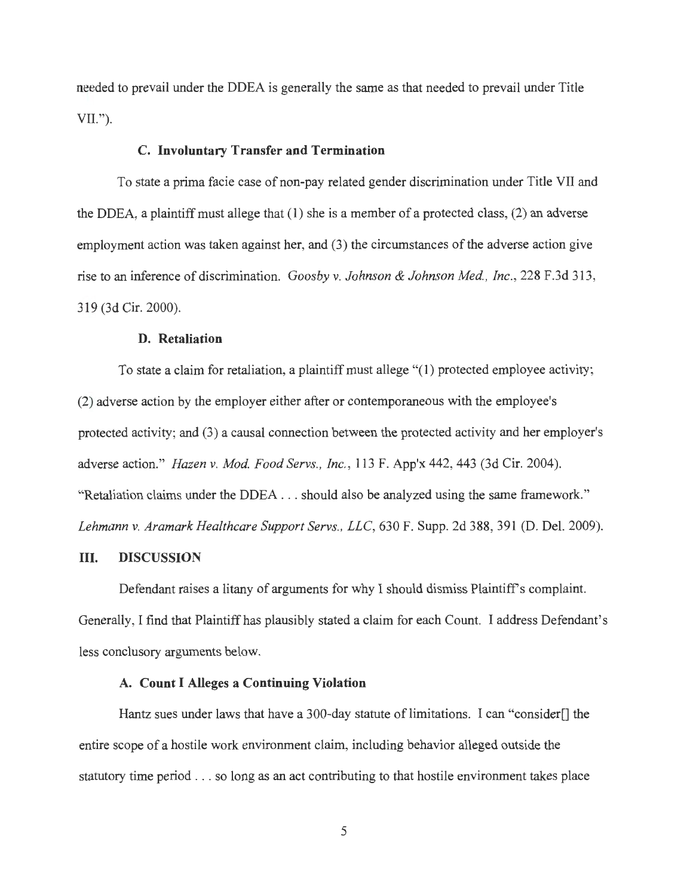needed to prevail under the DDEA is generally the same as that needed to prevail under Title VII.").

### **C. Involuntary Transfer and Termination**

To state a prima facie case of non-pay related gender discrimination under Title VII and the DDEA, a plaintiff must allege that (1) she is a member of a protected class, (2) an adverse employment action was taken against her, and (3) the circumstances of the adverse action give rise to an inference of discrimination. *Goosby v. Johnson & Johnson Med. , Inc. ,* 228 F.3d 313, 319 (3d Cir. 2000).

#### **D. Retaliation**

To state a claim for retaliation, a plaintiff must allege "(1) protected employee activity; (2) adverse action by the employer either after or contemporaneous with the employee's protected activity; and (3) a causal connection between the protected activity and her employer's adverse action." *Hazen v. Mod. Food Servs. , Inc. ,* 113 F. App'x 442, 443 (3d Cir. 2004). "Retaliation claims under the DDEA . .. should also be analyzed using the same framework." *Lehmann v. Aramark Healthcare Support Servs., LLC,* 630 F. Supp. 2d 388, 391 (D. Del. 2009).

### III. **DISCUSSION**

Defendant raises a litany of arguments for why I should dismiss Plaintiff's complaint. Generally, I find that Plaintiff has plausibly stated a claim for each Count. I address Defendant's less conclusory arguments below.

## **A. Count I Alleges a Continuing Violation**

Hantz sues under laws that have a 300-day statute of limitations. I can "consider[] the entire scope of a hostile work environment claim, including behavior alleged outside the statutory time period ... so long as an act contributing to that hostile environment takes place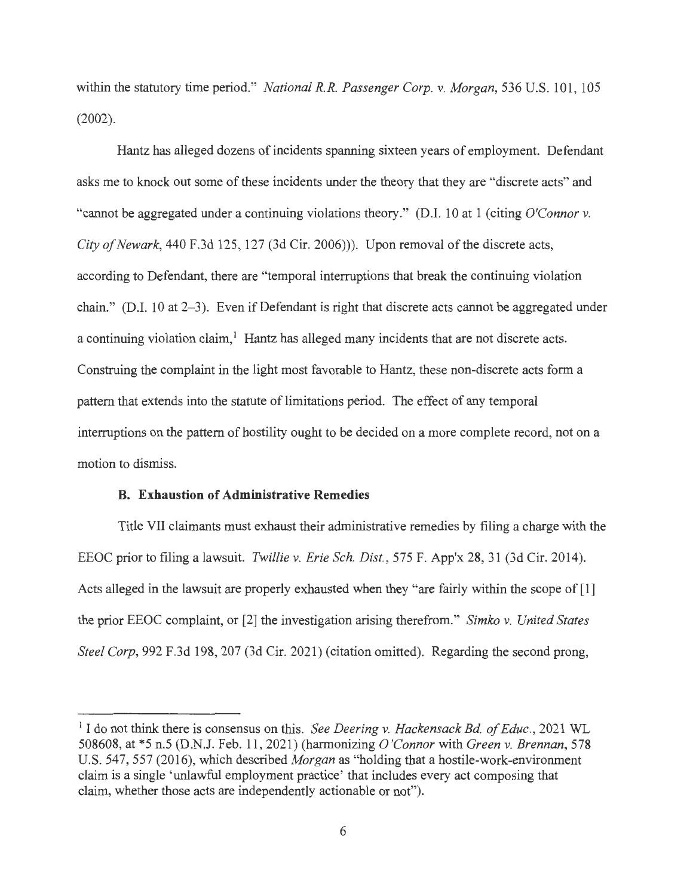within the statutory time period." *National R.R. Passenger Corp. v. Morgan*, 536 U.S. 101, 105 (2002).

Hantz has alleged dozens of incidents spanning sixteen years of employment. Defendant asks me to knock out some of these incidents under the theory that they are "discrete acts" and "cannot be aggregated under a continuing violations theory." (D.I. 10 at 1 (citing *O'Connor v. City of Newark,* 440 F.3d 125, 127 (3d Cir. 2006))). Upon removal of the discrete acts, according to Defendant, there are "temporal interruptions that break the continuing violation chain." (D.I. 10 at 2-3). Even if Defendant is right that discrete acts cannot be aggregated under a continuing violation claim,<sup>1</sup> Hantz has alleged many incidents that are not discrete acts. Construing the complaint in the light most favorable to Hantz, these non-discrete acts form a pattern that extends into the statute of limitations period. The effect of any temporal interruptions on the pattern of hostility ought to be decided on a more complete record, not on a motion to dismiss.

## **B. Exhaustion of Administrative Remedies**

Title VII claimants must exhaust their administrative remedies by filing a charge with the EEOC prior to filing a lawsuit. *Twillie v. Erie Sch. Dist.,* 575 F. App'x 28, 31 (3d Cir. 2014). Acts alleged in the lawsuit are properly exhausted when they "are fairly within the scope of [1] the prior EEOC complaint, or [2] the investigation arising therefrom." *Simko v. United States Steel Corp,* 992 F.3d 198, 207 (3d Cir. 2021) (citation omitted). Regarding the second prong,

<sup>&</sup>lt;sup>1</sup> I do not think there is consensus on this. *See Deering v. Hackensack Bd. of Educ.*, 2021 WL 508608, at \*5 n.5 (D.N.J. Feb. 11 , 2021) (harmonizing *O'Connor* with *Green v. Brennan,* 578 U.S. 547, 557 (2016), which described *Morgan* as "holding that a hostile-work-environment claim is a single 'unlawful employment practice' that includes every act composing that claim, whether those acts are independently actionable or not").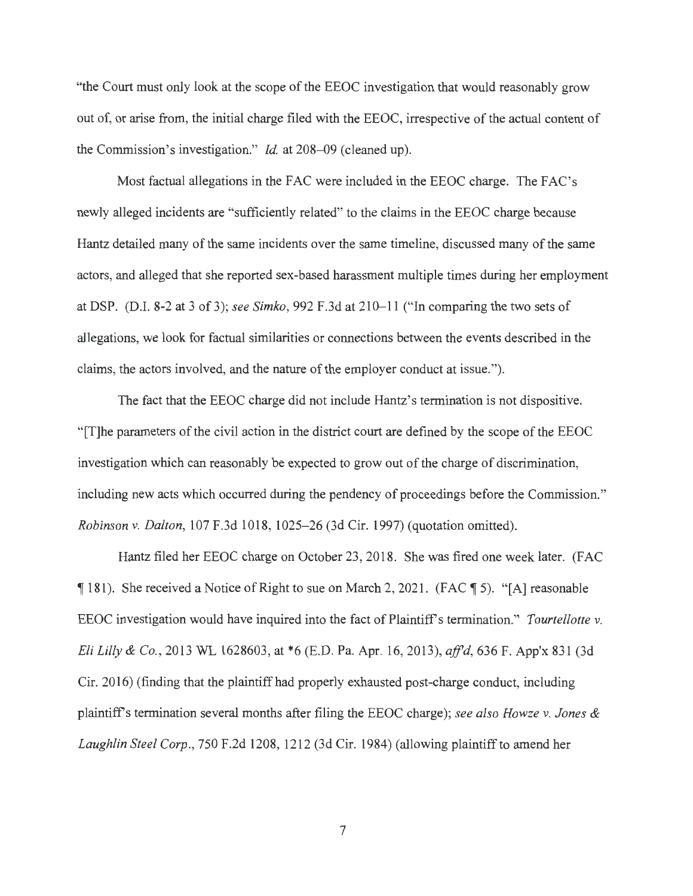"the Court must only look at the scope of the EEOC investigation that would reasonably grow out of, or arise from, the initial charge filed with the EEOC, irrespective of the actual content of the Commission's investigation." *Id.* at 208-09 (cleaned up).

Most factual allegations in the FAC were included in the EEOC charge. The FAC's newly alleged incidents are "sufficiently related" to the claims in the EEOC charge because Hantz detailed many of the same incidents over the same timeline, discussed many of the same actors, and alleged that she reported sex-based harassment multiple times during her employment at DSP. (D.I. 8-2 at 3 of 3); *see Simko*, 992 F.3d at 210–11 ("In comparing the two sets of allegations, we look for factual similarities or connections between the events described in the claims, the actors involved, and the nature of the employer conduct at issue.").

The fact that the EEOC charge did not include Hantz's termination is not dispositive. "[T]he parameters of the civil action in the district court are defined by the scope of the EEOC investigation which can reasonably be expected to grow out of the charge of discrimination, including new acts which occurred during the pendency of proceedings before the Commission." *Robinson v. Dalton,* 107 F.3d 1018, 1025-26 (3d Cir. 1997) (quotation omitted).

Hantz filed her EEOC charge on October 23, 2018. She was fired one week later. (FAC  $\P$ 181). She received a Notice of Right to sue on March 2, 2021. (FAC  $\P$  5). "[A] reasonable EEOC investigation would have inquired into the fact of Plaintiff's termination." *Tourtellotte v. Eli Lilly & Co.,* 2013 WL 1628603, at \*6 (E.D. Pa. Apr. 16, 2013), *affd,* 636 F. App'x 831 (3d Cir. 2016) (finding that the plaintiff had properly exhausted post-charge conduct, including plaintiff's termination several months after filing the EEOC charge); *see also Howze v. Jones & Laughlin Steel Corp. ,* 750 F.2d 1208, 1212 (3d Cir. 1984) (allowing plaintiff to amend her

7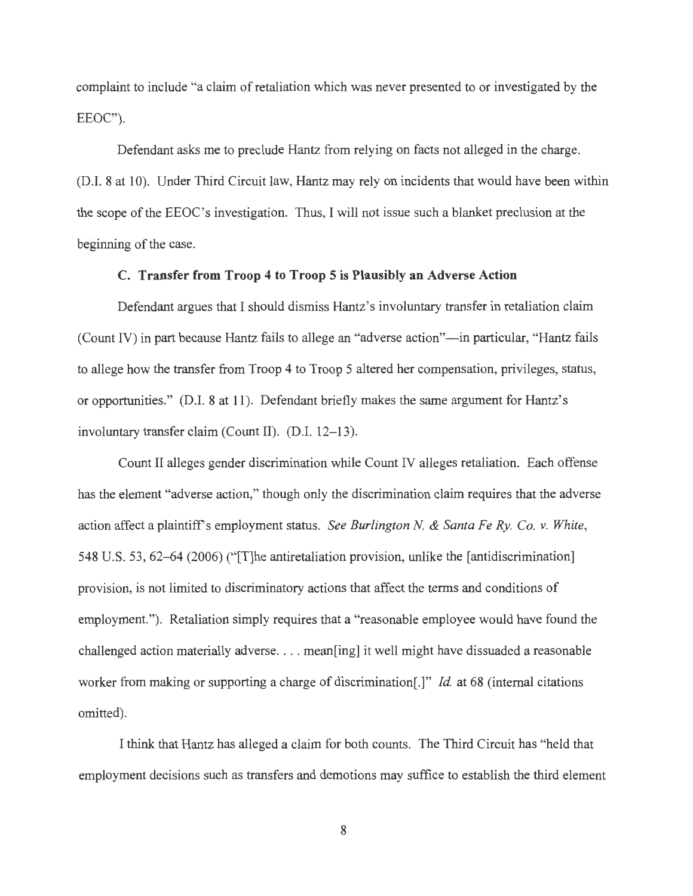complaint to include "a claim of retaliation which was never presented to or investigated by the EEOC").

Defendant asks me to preclude Hantz from relying on facts not alleged in the charge. (D.I. 8 at 10). Under Third Circuit law, Hantz may rely on incidents that would have been within the scope of the EEOC's investigation. Thus, I will not issue such a blanket preclusion at the beginning of the case.

## **C. Transfer from Troop 4 to Troop 5 is Plausibly an Adverse Action**

Defendant argues that I should dismiss Hantz's involuntary transfer in retaliation claim (Count IV) in part because Hantz fails to allege an "adverse action"—in particular, "Hantz fails to allege how the transfer from Troop 4 to Troop 5 altered her compensation, privileges, status, or opportunities." (D.I. 8 at 11). Defendant briefly makes the same argument for Hantz's involuntary transfer claim (Count II). (D.I. 12-13).

Count II alleges gender discrimination while Count IV alleges retaliation. Each offense has the element "adverse action," though only the discrimination claim requires that the adverse action affect a plaintiff's employment status. *See Burlington N. & Santa Fe Ry. Co. v. White*, 548 U.S. 53, 62-64 (2006) ("[T]he antiretaliation provision, unlike the [antidiscrimination] provision, is not limited to discriminatory actions that affect the terms and conditions of employment."). Retaliation simply requires that a "reasonable employee would have found the challenged action materially adverse.... mean[ing] it well might have dissuaded a reasonable worker from making or supporting a charge of discrimination[.]" *Id.* at 68 (internal citations omitted).

I think that Hantz has alleged a claim for both counts. The Third Circuit has "held that employment decisions such as transfers and demotions may suffice to establish the third element

8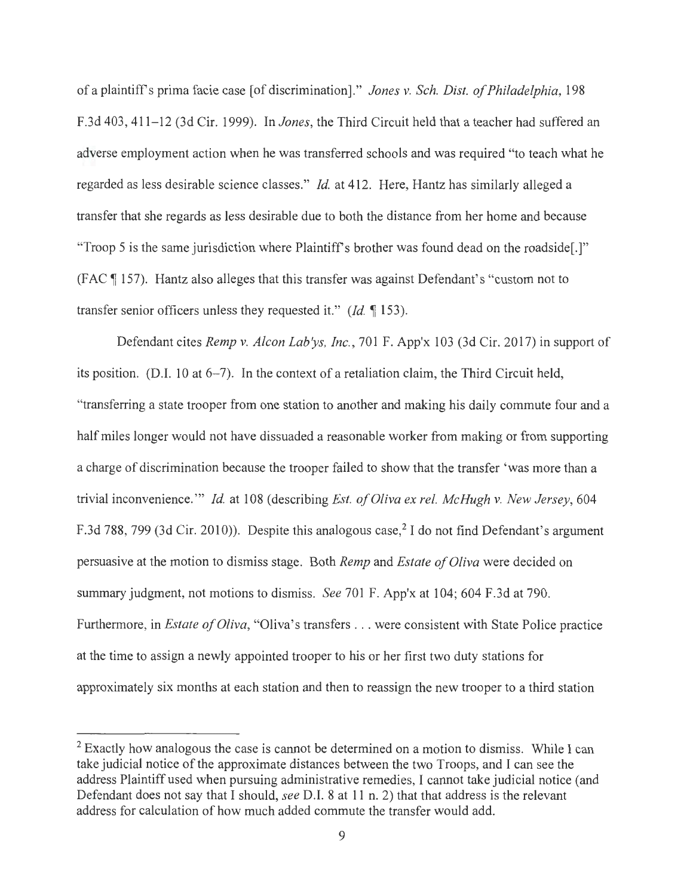of a plaintiffs prima facie case [ of discrimination]." *Jones v. Sch. Dist. of Philadelphia,* 198 F.3d 403, 411-12 (3d Cir. 1999). In *Jones*, the Third Circuit held that a teacher had suffered an adverse employment action when he was transferred schools and was required "to teach what he regarded as less desirable science classes." *Id.* at 412. Here, Hantz has similarly alleged a transfer that she regards as less desirable due to both the distance from her home and because "Troop 5 is the same jurisdiction where Plaintiff's brother was found dead on the roadside.]" (FAC 1 157). Hantz also alleges that this transfer was against Defendant's "custom not to transfer senior officers unless they requested it." *(Id.* 153).

Defendant cites *Remp v. Alcon Lab'ys, Inc. ,* 701 F. App'x 103 (3d Cir. 2017) in support of its position. (D.I. 10 at 6-7). In the context of a retaliation claim, the Third Circuit held, "transferring a state trooper from one station to another and making his daily commute four and a half miles longer would not have dissuaded a reasonable worker from making or from supporting a charge of discrimination because the trooper failed to show that the transfer 'was more than a trivial inconvenience. "' *Id.* at 108 ( describing *Est. of Oliva ex rel. McHugh v. New Jersey,* 604 F.3d 788, 799 (3d Cir. 2010)). Despite this analogous case,<sup>2</sup> I do not find Defendant's argument persuasive at the motion to dismiss stage. Both *Remp* and *Estate of Oliva* were decided on summary judgment, not motions to dismiss. *See* 701 F. App'x at 104; 604 F.3d at 790. Furthermore, in *Estate of Oliva,* "Oliva's transfers ... were consistent with State Police practice at the time to assign a newly appointed trooper to his or her first two duty stations for approximately six months at each station and then to reassign the new trooper to a third station

<sup>&</sup>lt;sup>2</sup> Exactly how analogous the case is cannot be determined on a motion to dismiss. While I can take judicial notice of the approximate distances between the two Troops, and I can see the address Plaintiff used when pursuing administrative remedies, I cannot take judicial notice (and Defendant does not say that I should, *see* D.I. 8 at 11 n. 2) that that address is the relevant address for calculation of how much added commute the transfer would add.